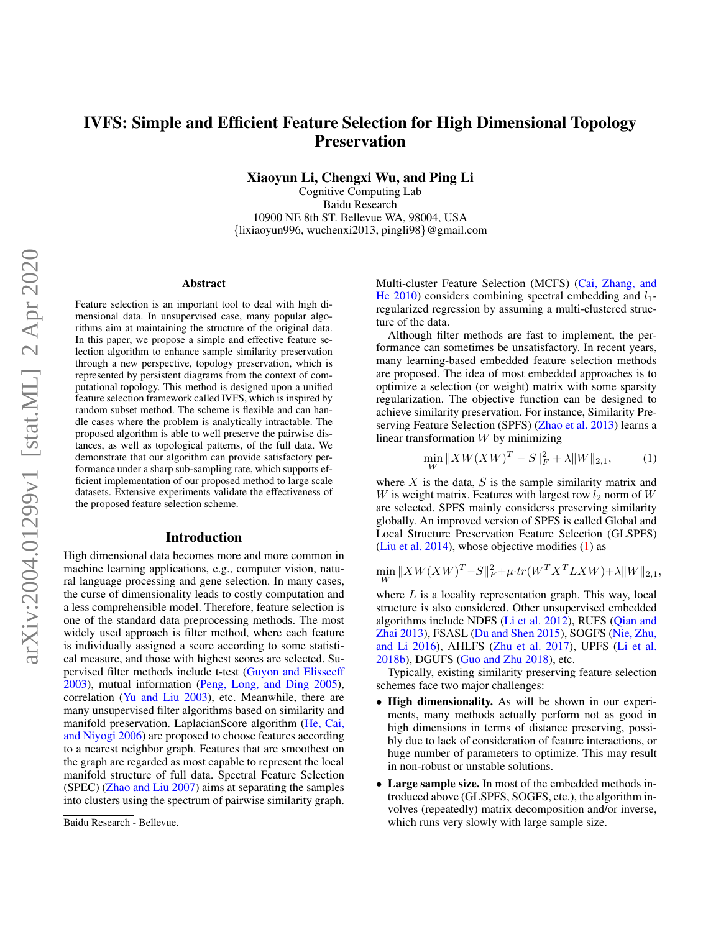# IVFS: Simple and Efficient Feature Selection for High Dimensional Topology **Preservation**

Xiaoyun Li, Chengxi Wu, and Ping Li

Cognitive Computing Lab Baidu Research 10900 NE 8th ST. Bellevue WA, 98004, USA {lixiaoyun996, wuchenxi2013, pingli98}@gmail.com

#### Abstract

Feature selection is an important tool to deal with high dimensional data. In unsupervised case, many popular algorithms aim at maintaining the structure of the original data. In this paper, we propose a simple and effective feature selection algorithm to enhance sample similarity preservation through a new perspective, topology preservation, which is represented by persistent diagrams from the context of computational topology. This method is designed upon a unified feature selection framework called IVFS, which is inspired by random subset method. The scheme is flexible and can handle cases where the problem is analytically intractable. The proposed algorithm is able to well preserve the pairwise distances, as well as topological patterns, of the full data. We demonstrate that our algorithm can provide satisfactory performance under a sharp sub-sampling rate, which supports efficient implementation of our proposed method to large scale datasets. Extensive experiments validate the effectiveness of the proposed feature selection scheme.

### Introduction

High dimensional data becomes more and more common in machine learning applications, e.g., computer vision, natural language processing and gene selection. In many cases, the curse of dimensionality leads to costly computation and a less comprehensible model. Therefore, feature selection is one of the standard data preprocessing methods. The most widely used approach is filter method, where each feature is individually assigned a score according to some statistical measure, and those with highest scores are selected. Supervised filter methods include t-test [\(Guyon and Elisseeff](#page-7-0) [2003\)](#page-7-0), mutual information [\(Peng, Long, and Ding 2005\)](#page-7-1), correlation [\(Yu and Liu 2003\)](#page-7-2), etc. Meanwhile, there are many unsupervised filter algorithms based on similarity and manifold preservation. LaplacianScore algorithm [\(He, Cai,](#page-7-3) [and Niyogi 2006\)](#page-7-3) are proposed to choose features according to a nearest neighbor graph. Features that are smoothest on the graph are regarded as most capable to represent the local manifold structure of full data. Spectral Feature Selection (SPEC) [\(Zhao and Liu 2007\)](#page-8-0) aims at separating the samples into clusters using the spectrum of pairwise similarity graph. Multi-cluster Feature Selection (MCFS) [\(Cai, Zhang, and](#page-7-4) [He 2010\)](#page-7-4) considers combining spectral embedding and  $l_1$ regularized regression by assuming a multi-clustered structure of the data.

Although filter methods are fast to implement, the performance can sometimes be unsatisfactory. In recent years, many learning-based embedded feature selection methods are proposed. The idea of most embedded approaches is to optimize a selection (or weight) matrix with some sparsity regularization. The objective function can be designed to achieve similarity preservation. For instance, Similarity Preserving Feature Selection (SPFS) [\(Zhao et al. 2013\)](#page-8-1) learns a linear transformation  $W$  by minimizing

<span id="page-0-0"></span>
$$
\min_{W} \|XW(XW)^{T} - S\|_{F}^{2} + \lambda \|W\|_{2,1},
$$
 (1)

where  $X$  is the data,  $S$  is the sample similarity matrix and W is weight matrix. Features with largest row  $l_2$  norm of W are selected. SPFS mainly considerss preserving similarity globally. An improved version of SPFS is called Global and Local Structure Preservation Feature Selection (GLSPFS) [\(Liu et al. 2014\)](#page-7-5), whose objective modifies  $(1)$  as

$$
\min_{W} \|XW(XW)^{T} - S\|_{F}^{2} + \mu \cdot tr(W^{T} X^{T} L X W) + \lambda \|W\|_{2,1},
$$

where  $L$  is a locality representation graph. This way, local structure is also considered. Other unsupervised embedded algorithms include NDFS [\(Li et al. 2012\)](#page-7-6), RUFS [\(Qian and](#page-7-7) [Zhai 2013\)](#page-7-7), FSASL [\(Du and Shen 2015\)](#page-7-8), SOGFS [\(Nie, Zhu,](#page-7-9) [and Li 2016\)](#page-7-9), AHLFS [\(Zhu et al. 2017\)](#page-8-2), UPFS [\(Li et al.](#page-7-10) [2018b\)](#page-7-10), DGUFS [\(Guo and Zhu 2018\)](#page-7-11), etc.

Typically, existing similarity preserving feature selection schemes face two major challenges:

- High dimensionality. As will be shown in our experiments, many methods actually perform not as good in high dimensions in terms of distance preserving, possibly due to lack of consideration of feature interactions, or huge number of parameters to optimize. This may result in non-robust or unstable solutions.
- Large sample size. In most of the embedded methods introduced above (GLSPFS, SOGFS, etc.), the algorithm involves (repeatedly) matrix decomposition and/or inverse, which runs very slowly with large sample size.

Baidu Research - Bellevue.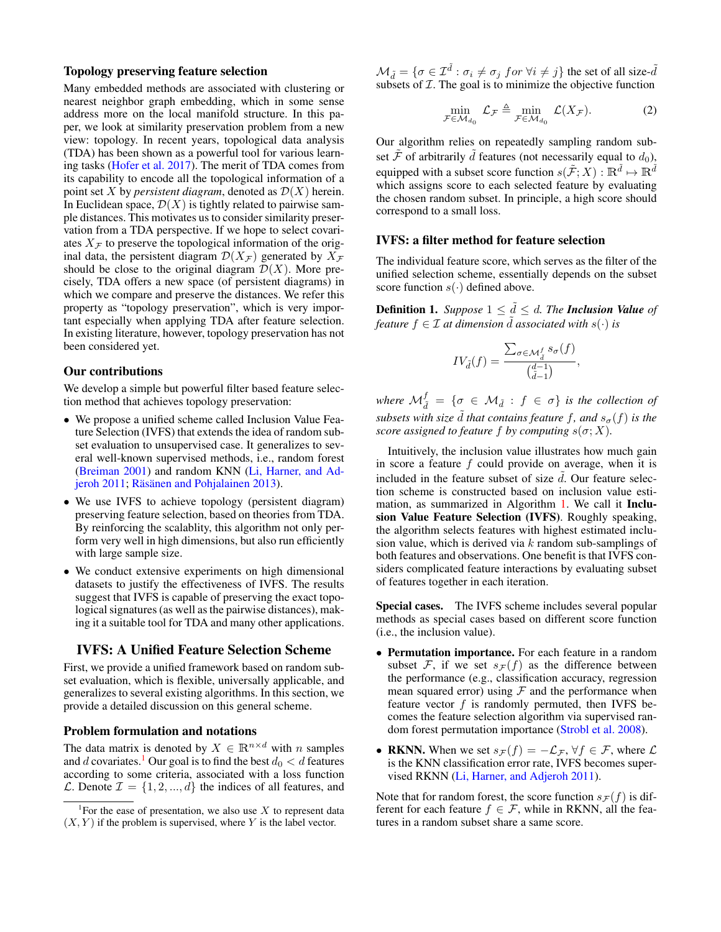### Topology preserving feature selection

Many embedded methods are associated with clustering or nearest neighbor graph embedding, which in some sense address more on the local manifold structure. In this paper, we look at similarity preservation problem from a new view: topology. In recent years, topological data analysis (TDA) has been shown as a powerful tool for various learning tasks [\(Hofer et al. 2017\)](#page-7-12). The merit of TDA comes from its capability to encode all the topological information of a point set X by *persistent diagram*, denoted as  $\mathcal{D}(X)$  herein. In Euclidean space,  $\mathcal{D}(X)$  is tightly related to pairwise sample distances. This motivates us to consider similarity preservation from a TDA perspective. If we hope to select covariates  $X_F$  to preserve the topological information of the original data, the persistent diagram  $\mathcal{D}(X_{\mathcal{F}})$  generated by  $X_{\mathcal{F}}$ should be close to the original diagram  $\mathcal{D}(X)$ . More precisely, TDA offers a new space (of persistent diagrams) in which we compare and preserve the distances. We refer this property as "topology preservation", which is very important especially when applying TDA after feature selection. In existing literature, however, topology preservation has not been considered yet.

### Our contributions

We develop a simple but powerful filter based feature selection method that achieves topology preservation:

- We propose a unified scheme called Inclusion Value Feature Selection (IVFS) that extends the idea of random subset evaluation to unsupervised case. It generalizes to several well-known supervised methods, i.e., random forest [\(Breiman 2001\)](#page-7-13) and random KNN [\(Li, Harner, and Ad](#page-7-14)[jeroh 2011;](#page-7-14) Räsänen and Pohjalainen 2013).
- We use IVFS to achieve topology (persistent diagram) preserving feature selection, based on theories from TDA. By reinforcing the scalablity, this algorithm not only perform very well in high dimensions, but also run efficiently with large sample size.
- We conduct extensive experiments on high dimensional datasets to justify the effectiveness of IVFS. The results suggest that IVFS is capable of preserving the exact topological signatures (as well as the pairwise distances), making it a suitable tool for TDA and many other applications.

# IVFS: A Unified Feature Selection Scheme

First, we provide a unified framework based on random subset evaluation, which is flexible, universally applicable, and generalizes to several existing algorithms. In this section, we provide a detailed discussion on this general scheme.

# Problem formulation and notations

The data matrix is denoted by  $X \in \mathbb{R}^{n \times d}$  with n samples and d covariates.<sup>[1](#page-1-0)</sup> Our goal is to find the best  $d_0 < d$  features according to some criteria, associated with a loss function  $\mathcal{L}$ . Denote  $\mathcal{I} = \{1, 2, ..., d\}$  the indices of all features, and  $\mathcal{M}_{\tilde{d}} = \{ \sigma \in \mathcal{I}^{\tilde{d}} : \sigma_i \neq \sigma_j \text{ for } \forall i \neq j \}$  the set of all size- $\tilde{d}$ subsets of  $I$ . The goal is to minimize the objective function

$$
\min_{\mathcal{F} \in \mathcal{M}_{d_0}} \mathcal{L}_{\mathcal{F}} \triangleq \min_{\mathcal{F} \in \mathcal{M}_{d_0}} \mathcal{L}(X_{\mathcal{F}}). \tag{2}
$$

Our algorithm relies on repeatedly sampling random subset  $\tilde{\mathcal{F}}$  of arbitrarily  $\tilde{d}$  features (not necessarily equal to  $d_0$ ), equipped with a subset score function  $s(\tilde{\mathcal{F}};X): \mathbb{R}^{\tilde{d}} \mapsto \mathbb{R}^{\tilde{d}}$ which assigns score to each selected feature by evaluating the chosen random subset. In principle, a high score should correspond to a small loss.

### IVFS: a filter method for feature selection

The individual feature score, which serves as the filter of the unified selection scheme, essentially depends on the subset score function  $s(\cdot)$  defined above.

**Definition 1.** *Suppose*  $1 \leq d \leq d$ *. The Inclusion Value of feature*  $f \in \mathcal{I}$  *at dimension*  $\tilde{d}$  *associated with*  $s(\cdot)$  *is* 

$$
IV_{\tilde{d}}(f) = \frac{\sum_{\sigma \in \mathcal{M}_{\tilde{d}}^f} s_{\sigma}(f)}{\binom{d-1}{\tilde{d}-1}},
$$

where  $M_{\tilde{d}}^f = \{ \sigma \in \mathcal{M}_{\tilde{d}} : f \in \sigma \}$  *is the collection of subsets with size*  $\tilde{d}$  *that contains feature*  $f$ *, and*  $s_{\sigma}(f)$  *is the score assigned to feature* f *by computing*  $s(\sigma; X)$ *.* 

Intuitively, the inclusion value illustrates how much gain in score a feature  $f$  could provide on average, when it is included in the feature subset of size  $\tilde{d}$ . Our feature selection scheme is constructed based on inclusion value estimation, as summarized in Algorithm [1.](#page-2-0) We call it Inclusion Value Feature Selection (IVFS). Roughly speaking, the algorithm selects features with highest estimated inclusion value, which is derived via  $k$  random sub-samplings of both features and observations. One benefit is that IVFS considers complicated feature interactions by evaluating subset of features together in each iteration.

Special cases. The IVFS scheme includes several popular methods as special cases based on different score function (i.e., the inclusion value).

- Permutation importance. For each feature in a random subset  $F$ , if we set  $s_F(f)$  as the difference between the performance (e.g., classification accuracy, regression mean squared error) using  $F$  and the performance when feature vector  $f$  is randomly permuted, then IVFS becomes the feature selection algorithm via supervised random forest permutation importance [\(Strobl et al. 2008\)](#page-7-16).
- RKNN. When we set  $s_{\mathcal{F}}(f) = -\mathcal{L}_{\mathcal{F}}$ ,  $\forall f \in \mathcal{F}$ , where  $\mathcal{L}$ is the KNN classification error rate, IVFS becomes supervised RKNN [\(Li, Harner, and Adjeroh 2011\)](#page-7-14).

Note that for random forest, the score function  $s_F(f)$  is different for each feature  $f \in \mathcal{F}$ , while in RKNN, all the features in a random subset share a same score.

<span id="page-1-0"></span><sup>&</sup>lt;sup>1</sup> For the ease of presentation, we also use  $X$  to represent data  $(X, Y)$  if the problem is supervised, where Y is the label vector.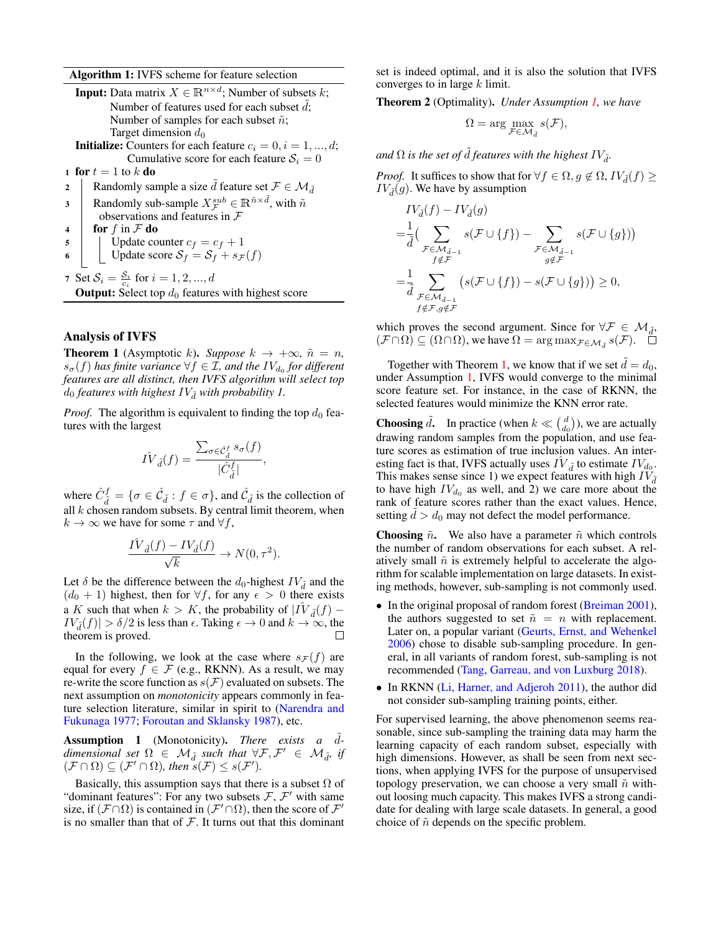Algorithm 1: IVFS scheme for feature selection

| <b>Input:</b> Data matrix $X \in \mathbb{R}^{n \times d}$ ; Number of subsets k;                         |  |  |  |  |  |  |  |
|----------------------------------------------------------------------------------------------------------|--|--|--|--|--|--|--|
| Number of features used for each subset $d$ ;                                                            |  |  |  |  |  |  |  |
| Number of samples for each subset $\tilde{n}$ ;                                                          |  |  |  |  |  |  |  |
| Target dimension $d_0$                                                                                   |  |  |  |  |  |  |  |
| <b>Initialize:</b> Counters for each feature $c_i = 0, i = 1, , d$ ;                                     |  |  |  |  |  |  |  |
| Cumulative score for each feature $S_i = 0$                                                              |  |  |  |  |  |  |  |
| 1 for $t=1$ to k do                                                                                      |  |  |  |  |  |  |  |
| Randomly sample a size d feature set $\mathcal{F} \in \mathcal{M}_{\tilde{d}}$<br>$\mathbf{2}$           |  |  |  |  |  |  |  |
| Randomly sub-sample $X^{sub}_{\tau} \in \mathbb{R}^{\tilde{n} \times \tilde{d}}$ , with $\tilde{n}$<br>3 |  |  |  |  |  |  |  |
| observations and features in $F$                                                                         |  |  |  |  |  |  |  |
| for f in $F$ do<br>$\overline{\mathbf{4}}$                                                               |  |  |  |  |  |  |  |
| Update counter $c_f = c_f + 1$<br>5                                                                      |  |  |  |  |  |  |  |
| Update score $S_f = S_f + s_{\mathcal{F}}(f)$<br>6                                                       |  |  |  |  |  |  |  |
| 7 Set $S_i = \frac{S_i}{c_i}$ for $i = 1, 2, , d$                                                        |  |  |  |  |  |  |  |
| <b>Output:</b> Select top $d_0$ features with highest score                                              |  |  |  |  |  |  |  |
|                                                                                                          |  |  |  |  |  |  |  |

# <span id="page-2-0"></span>Analysis of IVFS

<span id="page-2-2"></span>**Theorem 1** (Asymptotic k). *Suppose*  $k \rightarrow +\infty$ ,  $\tilde{n} = n$ ,  $s_{\sigma}(f)$  has finite variance  $\forall f \in \mathcal{I}$ , and the  $IV_{d_0}$  for different *features are all distinct, then IVFS algorithm will select top*  $d_0$  *features with highest*  $IV_{\tilde{d}}$  *with probability 1.* 

*Proof.* The algorithm is equivalent to finding the top  $d_0$  features with the largest

$$
\hat{IV}_{\tilde{d}}(f) = \frac{\sum_{\sigma \in \hat{\mathcal{C}}_{\tilde{d}}^f} s_{\sigma}(f)}{|\hat{C}_{\tilde{d}}^f|}
$$

,

where  $\hat{C}_{\tilde{d}}^f = \{\sigma \in \hat{\mathcal{C}}_{\tilde{d}} : f \in \sigma\}$ , and  $\hat{\mathcal{C}}_{\tilde{d}}$  is the collection of all  $k$  chosen random subsets. By central limit theorem, when  $k \to \infty$  we have for some  $\tau$  and  $\forall f$ ,

$$
\frac{\hat{IV}_{\tilde{d}}(f) - IV_{\tilde{d}}(f)}{\sqrt{k}} \to N(0, \tau^2).
$$

Let  $\delta$  be the difference between the  $d_0$ -highest  $IV_{\tilde{d}}$  and the  $(d_0 + 1)$  highest, then for  $\forall f$ , for any  $\epsilon > 0$  there exists a K such that when  $k > K$ , the probability of  $\hat{IV}_{\tilde{d}}(f)$  –  $IV_{d}(f)| > \delta/2$  is less than  $\epsilon$ . Taking  $\epsilon \to 0$  and  $k \to \infty$ , the theorem is proved. theorem is proved.

In the following, we look at the case where  $s_F(f)$  are equal for every  $f \in \mathcal{F}$  (e.g., RKNN). As a result, we may re-write the score function as  $s(\mathcal{F})$  evaluated on subsets. The next assumption on *monotonicity* appears commonly in feature selection literature, similar in spirit to [\(Narendra and](#page-7-17) [Fukunaga 1977;](#page-7-17) [Foroutan and Sklansky 1987\)](#page-7-18), etc.

<span id="page-2-1"></span>Assumption 1 (Monotonicity). There exists a d $dimensional set \Omega \in \mathcal{M}_{\tilde{d}} \text{ such that } \forall \mathcal{F}, \mathcal{F}' \in \mathcal{M}_{\tilde{d}} \text{, if}$  $(\mathcal{F} \cap \Omega) \subseteq (\mathcal{F}' \cap \Omega)$ , then  $s(\mathcal{F}) \leq s(\mathcal{F}')$ .

Basically, this assumption says that there is a subset  $\Omega$  of "dominant features": For any two subsets  $\mathcal{F}, \mathcal{F}'$  with same size, if  $(\mathcal{F} \cap \Omega)$  is contained in  $(\mathcal{F}' \cap \Omega)$ , then the score of  $\mathcal{F}'$ is no smaller than that of  $F$ . It turns out that this dominant

set is indeed optimal, and it is also the solution that IVFS converges to in large  $k$  limit.

Theorem 2 (Optimality). *Under Assumption [1,](#page-2-1) we have*

$$
\Omega = \arg \max_{\mathcal{F} \in \mathcal{M}_{\tilde{d}}} s(\mathcal{F}),
$$

*and*  $\Omega$  *is the set of*  $\tilde{d}$  *features with the highest*  $IV_{\tilde{d}}$ *.* 

*Proof.* It suffices to show that for  $\forall f \in \Omega, g \notin \Omega, IV_{\tilde{d}}(f) \geq 0$  $IV_{\tilde{d}}(g)$ . We have by assumption

$$
IV_{\tilde{d}}(f) - IV_{\tilde{d}}(g)
$$
  
=  $\frac{1}{\tilde{d}} \Big( \sum_{\substack{\mathcal{F} \in \mathcal{M}_{\tilde{d}-1} \\ f \notin \mathcal{F}}} s(\mathcal{F} \cup \{f\}) - \sum_{\substack{\mathcal{F} \in \mathcal{M}_{\tilde{d}-1} \\ g \notin \mathcal{F}}} s(\mathcal{F} \cup \{g\}) \Big)$   
=  $\frac{1}{\tilde{d}} \sum_{\substack{\mathcal{F} \in \mathcal{M}_{\tilde{d}-1} \\ f \notin \mathcal{F}, g \notin \mathcal{F}}} \big(s(\mathcal{F} \cup \{f\}) - s(\mathcal{F} \cup \{g\})\big) \ge 0,$ 

which proves the second argument. Since for  $\forall \mathcal{F} \in \mathcal{M}_{d}$ ,  $(\mathcal{F} \cap \Omega) \subseteq (\Omega \cap \Omega)$ , we have  $\Omega = \arg \max_{\mathcal{F} \in \mathcal{M}_{\tilde{d}}} s(\mathcal{F})$ .

Together with Theorem [1,](#page-2-2) we know that if we set  $d = d_0$ , under Assumption [1,](#page-2-1) IVFS would converge to the minimal score feature set. For instance, in the case of RKNN, the selected features would minimize the KNN error rate.

**Choosing**  $\tilde{d}$ . In practice (when  $k \ll \binom{d}{d_0}$ ), we are actually drawing random samples from the population, and use feature scores as estimation of true inclusion values. An interesting fact is that, IVFS actually uses  $\hat{IV}_{\tilde{d}}$  to estimate  $IV_{d_0}$ . This makes sense since 1) we expect features with high  $IV_{\tilde{d}}$ to have high  $IV_{d_0}$  as well, and 2) we care more about the rank of feature scores rather than the exact values. Hence, setting  $d > d_0$  may not defect the model performance.

**Choosing**  $\tilde{n}$ . We also have a parameter  $\tilde{n}$  which controls the number of random observations for each subset. A relatively small  $\tilde{n}$  is extremely helpful to accelerate the algorithm for scalable implementation on large datasets. In existing methods, however, sub-sampling is not commonly used.

- In the original proposal of random forest [\(Breiman 2001\)](#page-7-13), the authors suggested to set  $\tilde{n} = n$  with replacement. Later on, a popular variant [\(Geurts, Ernst, and Wehenkel](#page-7-19) [2006\)](#page-7-19) chose to disable sub-sampling procedure. In general, in all variants of random forest, sub-sampling is not recommended [\(Tang, Garreau, and von Luxburg 2018\)](#page-7-20).
- In RKNN [\(Li, Harner, and Adjeroh 2011\)](#page-7-14), the author did not consider sub-sampling training points, either.

For supervised learning, the above phenomenon seems reasonable, since sub-sampling the training data may harm the learning capacity of each random subset, especially with high dimensions. However, as shall be seen from next sections, when applying IVFS for the purpose of unsupervised topology preservation, we can choose a very small  $\tilde{n}$  without loosing much capacity. This makes IVFS a strong candidate for dealing with large scale datasets. In general, a good choice of  $\tilde{n}$  depends on the specific problem.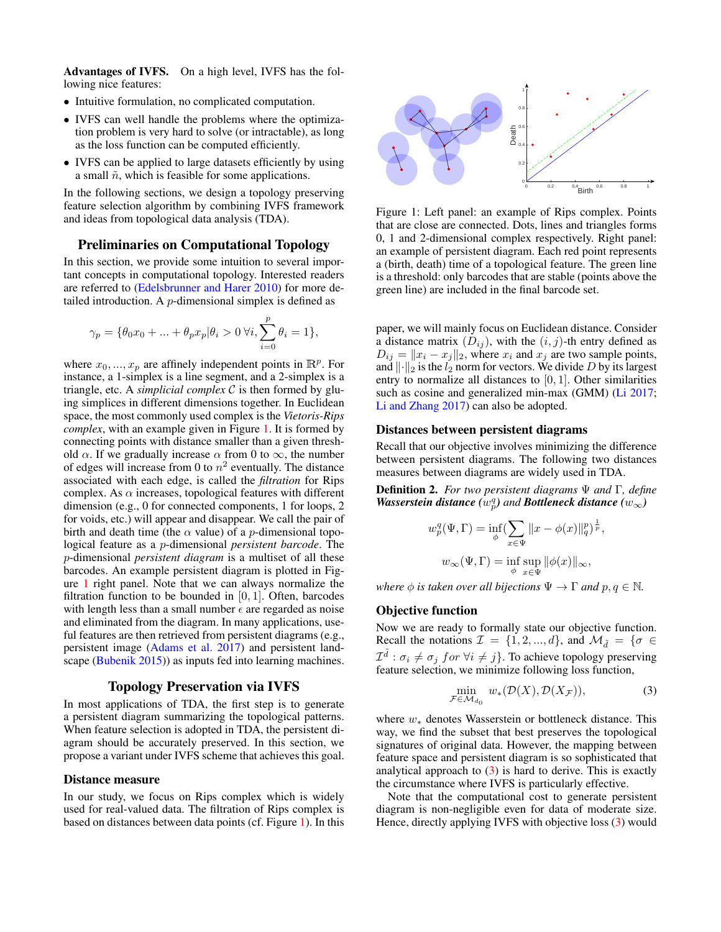Advantages of IVFS. On a high level, IVFS has the following nice features:

- Intuitive formulation, no complicated computation.
- IVFS can well handle the problems where the optimization problem is very hard to solve (or intractable), as long as the loss function can be computed efficiently.
- IVFS can be applied to large datasets efficiently by using a small  $\tilde{n}$ , which is feasible for some applications.

In the following sections, we design a topology preserving feature selection algorithm by combining IVFS framework and ideas from topological data analysis (TDA).

### Preliminaries on Computational Topology

In this section, we provide some intuition to several important concepts in computational topology. Interested readers are referred to [\(Edelsbrunner and Harer 2010\)](#page-7-21) for more detailed introduction. A p-dimensional simplex is defined as

$$
\gamma_p = \{\theta_0 x_0 + \ldots + \theta_p x_p | \theta_i > 0 \,\, \forall i, \sum_{i=0}^p \theta_i = 1 \},
$$

where  $x_0, ..., x_p$  are affinely independent points in  $\mathbb{R}^p$ . For instance, a 1-simplex is a line segment, and a 2-simplex is a triangle, etc. A *simplicial complex* C is then formed by gluing simplices in different dimensions together. In Euclidean space, the most commonly used complex is the *Vietoris-Rips complex*, with an example given in Figure [1.](#page-3-0) It is formed by connecting points with distance smaller than a given threshold  $\alpha$ . If we gradually increase  $\alpha$  from 0 to  $\infty$ , the number of edges will increase from 0 to  $n^2$  eventually. The distance associated with each edge, is called the *filtration* for Rips complex. As  $\alpha$  increases, topological features with different dimension (e.g., 0 for connected components, 1 for loops, 2 for voids, etc.) will appear and disappear. We call the pair of birth and death time (the  $\alpha$  value) of a *p*-dimensional topological feature as a p-dimensional *persistent barcode*. The p-dimensional *persistent diagram* is a multiset of all these barcodes. An example persistent diagram is plotted in Figure [1](#page-3-0) right panel. Note that we can always normalize the filtration function to be bounded in  $[0, 1]$ . Often, barcodes with length less than a small number  $\epsilon$  are regarded as noise and eliminated from the diagram. In many applications, useful features are then retrieved from persistent diagrams (e.g., persistent image [\(Adams et al. 2017\)](#page-7-22) and persistent landscape [\(Bubenik 2015\)](#page-7-23)) as inputs fed into learning machines.

# Topology Preservation via IVFS

In most applications of TDA, the first step is to generate a persistent diagram summarizing the topological patterns. When feature selection is adopted in TDA, the persistent diagram should be accurately preserved. In this section, we propose a variant under IVFS scheme that achieves this goal.

#### Distance measure

In our study, we focus on Rips complex which is widely used for real-valued data. The filtration of Rips complex is based on distances between data points (cf. Figure [1\)](#page-3-0). In this

<span id="page-3-0"></span>

Figure 1: Left panel: an example of Rips complex. Points that are close are connected. Dots, lines and triangles forms 0, 1 and 2-dimensional complex respectively. Right panel: an example of persistent diagram. Each red point represents a (birth, death) time of a topological feature. The green line is a threshold: only barcodes that are stable (points above the green line) are included in the final barcode set.

paper, we will mainly focus on Euclidean distance. Consider a distance matrix  $(D_{ij})$ , with the  $(i, j)$ -th entry defined as  $D_{ij} = ||x_i - x_j||_2$ , where  $x_i$  and  $x_j$  are two sample points, and  $\lVert \cdot \rVert_2$  is the  $l_2$  norm for vectors. We divide D by its largest entry to normalize all distances to  $[0, 1]$ . Other similarities such as cosine and generalized min-max (GMM) [\(Li 2017;](#page-7-24) [Li and Zhang 2017\)](#page-7-25) can also be adopted.

# Distances between persistent diagrams

Recall that our objective involves minimizing the difference between persistent diagrams. The following two distances measures between diagrams are widely used in TDA.

Definition 2. *For two persistent diagrams* Ψ *and* Γ*, define Wasserstein distance*  $\overline{(w_p^q)}$  *and Bottleneck distance*  $(w_\infty)$ 

$$
w_p^q(\Psi, \Gamma) = \inf_{\phi} \left( \sum_{x \in \Psi} ||x - \phi(x)||_q^p \right)^{\frac{1}{p}},
$$
  

$$
w_{\infty}(\Psi, \Gamma) = \inf_{\phi} \sup_{x \in \Psi} ||\phi(x)||_{\infty},
$$

*where*  $\phi$  *is taken over all bijections*  $\Psi \to \Gamma$  *and*  $p, q \in \mathbb{N}$ *.* 

### Objective function

Now we are ready to formally state our objective function. Recall the notations  $\mathcal{I} = \{1, 2, ..., d\}$ , and  $\mathcal{M}_{\tilde{d}} = \{\sigma \in$  $\mathcal{I}^{\tilde{d}}$  :  $\sigma_i \neq \sigma_j$  for  $\forall i \neq j$ . To achieve topology preserving feature selection, we minimize following loss function,

<span id="page-3-1"></span>
$$
\min_{\mathcal{F}\in\mathcal{M}_{d_0}} w_*(\mathcal{D}(X), \mathcal{D}(X_{\mathcal{F}})),\tag{3}
$$

where  $w∗$  denotes Wasserstein or bottleneck distance. This way, we find the subset that best preserves the topological signatures of original data. However, the mapping between feature space and persistent diagram is so sophisticated that analytical approach to  $(3)$  is hard to derive. This is exactly the circumstance where IVFS is particularly effective.

Note that the computational cost to generate persistent diagram is non-negligible even for data of moderate size. Hence, directly applying IVFS with objective loss [\(3\)](#page-3-1) would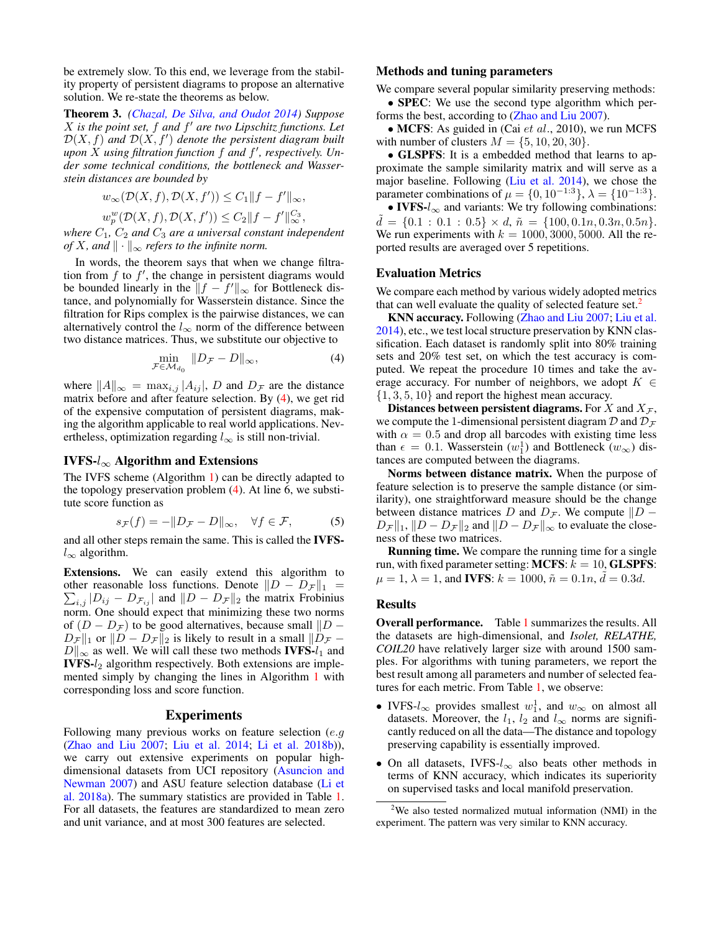be extremely slow. To this end, we leverage from the stability property of persistent diagrams to propose an alternative solution. We re-state the theorems as below.

Theorem 3. *[\(Chazal, De Silva, and Oudot 2014\)](#page-7-26) Suppose* X *is the point set,* f *and* f <sup>0</sup> *are two Lipschitz functions. Let*  $\mathcal{D}(X,f)$  and  $\mathcal{D}(X,f')$  denote the persistent diagram built *upon* X *using filtration function* f *and* f 0 *, respectively. Under some technical conditions, the bottleneck and Wasserstein distances are bounded by*

$$
w_{\infty}(\mathcal{D}(X,f), \mathcal{D}(X,f')) \leq C_1 ||f - f'||_{\infty},
$$
  

$$
w_p^w(\mathcal{D}(X,f), \mathcal{D}(X,f')) \leq C_2 ||f - f'||_{\infty}^{C_3},
$$

*where*  $C_1$ ,  $C_2$  *and*  $C_3$  *are a universal constant independent of* X, and  $\|\cdot\|_{\infty}$  *refers to the infinite norm.* 

In words, the theorem says that when we change filtration from  $f$  to  $f'$ , the change in persistent diagrams would be bounded linearly in the  $||f - f||_{\infty}$  for Bottleneck distance, and polynomially for Wasserstein distance. Since the filtration for Rips complex is the pairwise distances, we can alternatively control the  $l_{\infty}$  norm of the difference between two distance matrices. Thus, we substitute our objective to

<span id="page-4-0"></span>
$$
\min_{\mathcal{F}\in\mathcal{M}_{d_0}}\|D_{\mathcal{F}}-D\|_{\infty},\tag{4}
$$

where  $||A||_{\infty} = \max_{i,j} |A_{ij}|$ , D and  $D_{\mathcal{F}}$  are the distance matrix before and after feature selection. By [\(4\)](#page-4-0), we get rid of the expensive computation of persistent diagrams, making the algorithm applicable to real world applications. Nevertheless, optimization regarding  $l_{\infty}$  is still non-trivial.

#### IVFS- $l_{\infty}$  Algorithm and Extensions

The IVFS scheme (Algorithm [1\)](#page-2-0) can be directly adapted to the topology preservation problem [\(4\)](#page-4-0). At line 6, we substitute score function as

$$
s_{\mathcal{F}}(f) = -\|D_{\mathcal{F}} - D\|_{\infty}, \quad \forall f \in \mathcal{F}, \tag{5}
$$

and all other steps remain the same. This is called the IVFS $l_{\infty}$  algorithm.

Extensions. We can easily extend this algorithm to  $\sum_{i,j} |D_{ij} - D_{\mathcal{F}_{ij}}|$  and  $||D - D_{\mathcal{F}}||_2$  the matrix Frobinius other reasonable loss functions. Denote  $||D - D_{\mathcal{F}}||_1$  = norm. One should expect that minimizing these two norms of  $(D - D<sub>F</sub>)$  to be good alternatives, because small  $||D - D||$  $D_{\mathcal{F}} \|_1$  or  $\|D - D_{\mathcal{F}} \|_2$  is likely to result in a small  $\|D_{\mathcal{F}} D\|_{\infty}$  as well. We will call these two methods **IVFS-** $l_1$  and **IVFS-** $l_2$  algorithm respectively. Both extensions are implemented simply by changing the lines in Algorithm [1](#page-2-0) with corresponding loss and score function.

#### Experiments

Following many previous works on feature selection (e.g [\(Zhao and Liu 2007;](#page-8-0) [Liu et al. 2014;](#page-7-5) [Li et al. 2018b\)](#page-7-10)), we carry out extensive experiments on popular highdimensional datasets from UCI repository [\(Asuncion and](#page-7-27) [Newman 2007\)](#page-7-27) and ASU feature selection database [\(Li et](#page-7-28) [al. 2018a\)](#page-7-28). The summary statistics are provided in Table [1.](#page-5-0) For all datasets, the features are standardized to mean zero and unit variance, and at most 300 features are selected.

### Methods and tuning parameters

We compare several popular similarity preserving methods:

• **SPEC**: We use the second type algorithm which performs the best, according to [\(Zhao and Liu 2007\)](#page-8-0).

• MCFS: As guided in (Cai  $et$   $al., 2010$ ), we run MCFS with number of clusters  $M = \{5, 10, 20, 30\}.$ 

• GLSPFS: It is a embedded method that learns to approximate the sample similarity matrix and will serve as a major baseline. Following [\(Liu et al. 2014\)](#page-7-5), we chose the parameter combinations of  $\mu = \{0, 10^{-1.3}\}, \lambda = \{10^{-1.3}\}.$ 

• IVFS- $l_{\infty}$  and variants: We try following combinations:  $d = \{0.1 : 0.1 : 0.5\} \times d, \tilde{n} = \{100, 0.1n, 0.3n, 0.5n\}.$ We run experiments with  $k = 1000, 3000, 5000$ . All the reported results are averaged over 5 repetitions.

### Evaluation Metrics

We compare each method by various widely adopted metrics that can well evaluate the quality of selected feature set.<sup>[2](#page-4-1)</sup>

KNN accuracy. Following [\(Zhao and Liu 2007;](#page-8-0) [Liu et al.](#page-7-5) [2014\)](#page-7-5), etc., we test local structure preservation by KNN classification. Each dataset is randomly split into 80% training sets and 20% test set, on which the test accuracy is computed. We repeat the procedure 10 times and take the average accuracy. For number of neighbors, we adopt  $K \in$  $\{1, 3, 5, 10\}$  and report the highest mean accuracy.

Distances between persistent diagrams. For X and  $X_{\mathcal{F}}$ , we compute the 1-dimensional persistent diagram  $\mathcal D$  and  $\mathcal D_{\mathcal F}$ with  $\alpha = 0.5$  and drop all barcodes with existing time less than  $\epsilon = 0.1$ . Wasserstein  $(w_1^1)$  and Bottleneck  $(w_\infty)$  distances are computed between the diagrams.

Norms between distance matrix. When the purpose of feature selection is to preserve the sample distance (or similarity), one straightforward measure should be the change between distance matrices D and  $D_{\mathcal{F}}$ . We compute  $||D D_{\mathcal{F}} \|_1, \|D - D_{\mathcal{F}}\|_2$  and  $\|D - D_{\mathcal{F}}\|_{\infty}$  to evaluate the closeness of these two matrices.

Running time. We compare the running time for a single run, with fixed parameter setting: MCFS:  $k = 10$ , GLSPFS:  $\mu = 1, \lambda = 1$ , and **IVFS**:  $k = 1000, \tilde{n} = 0.1n, \tilde{d} = 0.3d$ .

#### Results

Overall performance. Table [1](#page-5-0) summarizes the results. All the datasets are high-dimensional, and *Isolet, RELATHE, COIL20* have relatively larger size with around 1500 samples. For algorithms with tuning parameters, we report the best result among all parameters and number of selected features for each metric. From Table [1,](#page-5-0) we observe:

- IVFS- $l_{\infty}$  provides smallest  $w_1^1$ , and  $w_{\infty}$  on almost all datasets. Moreover, the  $l_1$ ,  $l_2$  and  $l_{\infty}$  norms are significantly reduced on all the data—The distance and topology preserving capability is essentially improved.
- On all datasets, IVFS- $l_{\infty}$  also beats other methods in terms of KNN accuracy, which indicates its superiority on supervised tasks and local manifold preservation.

<span id="page-4-1"></span><sup>2</sup>We also tested normalized mutual information (NMI) in the experiment. The pattern was very similar to KNN accuracy.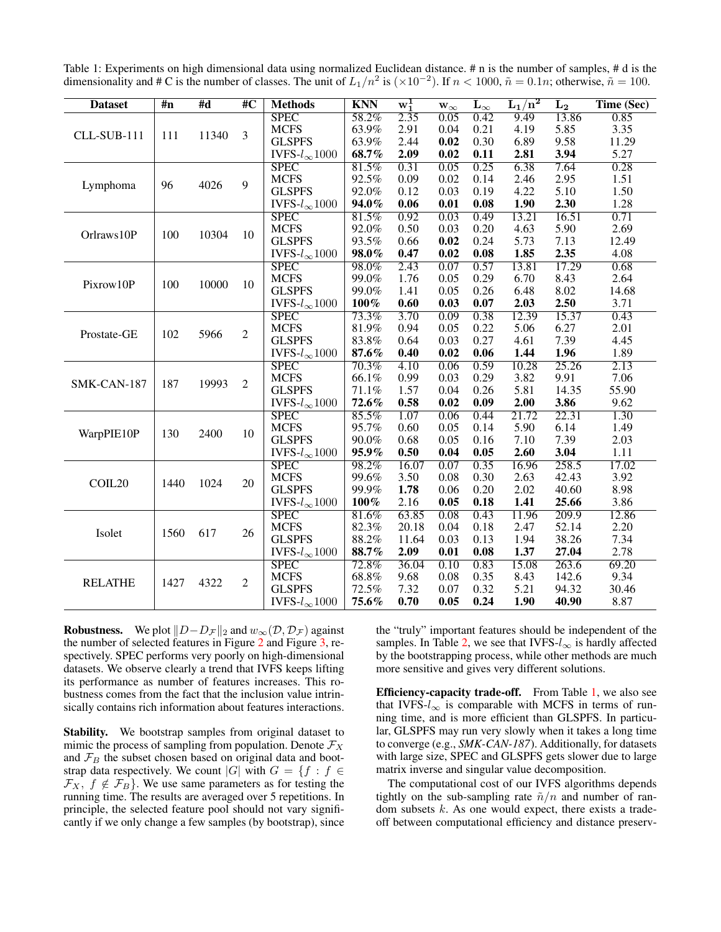<span id="page-5-0"></span>Table 1: Experiments on high dimensional data using normalized Euclidean distance. # n is the number of samples, # d is the dimensionality and # C is the number of classes. The unit of  $L_1/n^2$  is  $(\times 10^{-2})$ . If  $n < 1000$ ,  $\tilde{n} = 0.1n$ ; otherwise,  $\tilde{n} = 100$ .

| <b>Dataset</b> | $\overline{m}$ | #d    | $\overline{4}C$ | <b>Methods</b>         | <b>KNN</b> | $w_1^1$ | $\mathbf{w}_{\infty}$ | $\mathbf{L}_{\infty}$ | $\rm L_1/n^2$ | $L_{2}$            | Time (Sec) |
|----------------|----------------|-------|-----------------|------------------------|------------|---------|-----------------------|-----------------------|---------------|--------------------|------------|
| CLL-SUB-111    | 111            | 11340 | 3               | <b>SPEC</b>            | 58.2%      | 2.35    | 0.05                  | 0.42                  | 9.49          | 13.86              | 0.85       |
|                |                |       |                 | <b>MCFS</b>            | 63.9%      | 2.91    | 0.04                  | 0.21                  | 4.19          | 5.85               | 3.35       |
|                |                |       |                 | <b>GLSPFS</b>          | 63.9%      | 2.44    | 0.02                  | 0.30                  | 6.89          | 9.58               | 11.29      |
|                |                |       |                 | IVFS- $l_{\infty}1000$ | 68.7%      | 2.09    | 0.02                  | 0.11                  | 2.81          | 3.94               | 5.27       |
|                |                | 4026  | 9               | <b>SPEC</b>            | 81.5%      | 0.31    | 0.05                  | 0.25                  | 6.38          | 7.64               | 0.28       |
| Lymphoma       | 96             |       |                 | <b>MCFS</b>            | 92.5%      | 0.09    | 0.02                  | 0.14                  | 2.46          | 2.95               | 1.51       |
|                |                |       |                 | <b>GLSPFS</b>          | 92.0%      | 0.12    | 0.03                  | 0.19                  | 4.22          | 5.10               | 1.50       |
|                |                |       |                 | IVFS- $l_{\infty}1000$ | 94.0%      | 0.06    | 0.01                  | 0.08                  | 1.90          | 2.30               | 1.28       |
| Orlraws10P     | 100            | 10304 | 10              | <b>SPEC</b>            | 81.5%      | 0.92    | 0.03                  | 0.49                  | 13.21         | 16.51              | 0.71       |
|                |                |       |                 | <b>MCFS</b>            | 92.0%      | 0.50    | 0.03                  | 0.20                  | 4.63          | 5.90               | 2.69       |
|                |                |       |                 | <b>GLSPFS</b>          | 93.5%      | 0.66    | 0.02                  | 0.24                  | 5.73          | 7.13               | 12.49      |
|                |                |       |                 | IVFS- $l_{\infty}1000$ | 98.0%      | 0.47    | 0.02                  | 0.08                  | 1.85          | 2.35               | 4.08       |
|                |                | 10000 | 10              | <b>SPEC</b>            | 98.0%      | 2.43    | 0.07                  | 0.57                  | 13.81         | 17.29              | 0.68       |
| Pixrow10P      | 100            |       |                 | <b>MCFS</b>            | 99.0%      | 1.76    | 0.05                  | 0.29                  | 6.70          | 8.43               | 2.64       |
|                |                |       |                 | <b>GLSPFS</b>          | 99.0%      | 1.41    | 0.05                  | 0.26                  | 6.48          | 8.02               | 14.68      |
|                |                |       |                 | IVFS- $l_{\infty}1000$ | 100%       | 0.60    | 0.03                  | 0.07                  | 2.03          | 2.50               | 3.71       |
|                | 102            | 5966  | $\overline{2}$  | <b>SPEC</b>            | 73.3%      | 3.70    | 0.09                  | 0.38                  | 12.39         | 15.37              | 0.43       |
| Prostate-GE    |                |       |                 | <b>MCFS</b>            | 81.9%      | 0.94    | 0.05                  | 0.22                  | 5.06          | 6.27               | 2.01       |
|                |                |       |                 | <b>GLSPFS</b>          | 83.8%      | 0.64    | 0.03                  | 0.27                  | 4.61          | 7.39               | 4.45       |
|                |                |       |                 | IVFS- $l_{\infty}1000$ | 87.6%      | 0.40    | 0.02                  | 0.06                  | 1.44          | 1.96               | 1.89       |
| SMK-CAN-187    | 187            | 19993 | $\overline{2}$  | <b>SPEC</b>            | 70.3%      | 4.10    | 0.06                  | 0.59                  | 10.28         | 25.26              | 2.13       |
|                |                |       |                 | <b>MCFS</b>            | 66.1%      | 0.99    | 0.03                  | 0.29                  | 3.82          | 9.91               | 7.06       |
|                |                |       |                 | <b>GLSPFS</b>          | 71.1%      | 1.57    | 0.04                  | 0.26                  | 5.81          | 14.35              | 55.90      |
|                |                |       |                 | IVFS- $l_{\infty}1000$ | 72.6%      | 0.58    | 0.02                  | 0.09                  | 2.00          | 3.86               | 9.62       |
|                | 130            | 2400  | 10              | <b>SPEC</b>            | 85.5%      | 1.07    | 0.06                  | 0.44                  | 21.72         | 22.31              | 1.30       |
| WarpPIE10P     |                |       |                 | <b>MCFS</b>            | 95.7%      | 0.60    | 0.05                  | 0.14                  | 5.90          | 6.14               | 1.49       |
|                |                |       |                 | <b>GLSPFS</b>          | 90.0%      | 0.68    | 0.05                  | 0.16                  | 7.10          | 7.39               | 2.03       |
|                |                |       |                 | IVFS- $l_{\infty}1000$ | 95.9%      | 0.50    | 0.04                  | 0.05                  | 2.60          | 3.04               | 1.11       |
|                | 1440           | 1024  | 20              | <b>SPEC</b>            | 98.2%      | 16.07   | 0.07                  | 0.35                  | 16.96         | 258.5              | 17.02      |
| COIL20         |                |       |                 | <b>MCFS</b>            | 99.6%      | 3.50    | 0.08                  | 0.30                  | 2.63          | 42.43              | 3.92       |
|                |                |       |                 | <b>GLSPFS</b>          | 99.9%      | 1.78    | 0.06                  | 0.20                  | 2.02          | 40.60              | 8.98       |
|                |                |       |                 | IVFS- $l_{\infty}1000$ | $100\%$    | 2.16    | 0.05                  | 0.18                  | 1.41          | 25.66              | 3.86       |
| Isolet         | 1560           | 617   | 26              | <b>SPEC</b>            | 81.6%      | 63.85   | 0.08                  | 0.43                  | 11.96         | $\overline{209.9}$ | 12.86      |
|                |                |       |                 | <b>MCFS</b>            | 82.3%      | 20.18   | 0.04                  | 0.18                  | 2.47          | 52.14              | 2.20       |
|                |                |       |                 | <b>GLSPFS</b>          | 88.2%      | 11.64   | 0.03                  | 0.13                  | 1.94          | 38.26              | 7.34       |
|                |                |       |                 | IVFS- $l_{\infty}1000$ | 88.7%      | 2.09    | 0.01                  | 0.08                  | 1.37          | 27.04              | 2.78       |
|                | 1427           | 4322  | 2               | <b>SPEC</b>            | 72.8%      | 36.04   | 0.10                  | 0.83                  | 15.08         | 263.6              | 69.20      |
| <b>RELATHE</b> |                |       |                 | <b>MCFS</b>            | 68.8%      | 9.68    | 0.08                  | 0.35                  | 8.43          | 142.6              | 9.34       |
|                |                |       |                 | <b>GLSPFS</b>          | 72.5%      | 7.32    | 0.07                  | 0.32                  | 5.21          | 94.32              | 30.46      |
|                |                |       |                 | IVFS- $l_{\infty}1000$ | 75.6%      | 0.70    | 0.05                  | 0.24                  | 1.90          | 40.90              | 8.87       |

**Robustness.** We plot  $||D-D_F||_2$  and  $w_\infty(\mathcal{D}, \mathcal{D}_F)$  against the number of selected features in Figure [2](#page-6-0) and Figure [3,](#page-6-1) respectively. SPEC performs very poorly on high-dimensional datasets. We observe clearly a trend that IVFS keeps lifting its performance as number of features increases. This robustness comes from the fact that the inclusion value intrinsically contains rich information about features interactions.

Stability. We bootstrap samples from original dataset to mimic the process of sampling from population. Denote  $\mathcal{F}_X$ and  $\mathcal{F}_B$  the subset chosen based on original data and bootstrap data respectively. We count |G| with  $G = \{f : f \in$  $\mathcal{F}_X$ ,  $f \notin \mathcal{F}_B$ . We use same parameters as for testing the running time. The results are averaged over 5 repetitions. In principle, the selected feature pool should not vary significantly if we only change a few samples (by bootstrap), since

the "truly" important features should be independent of the samples. In Table [2,](#page-6-2) we see that IVFS- $l_{\infty}$  is hardly affected by the bootstrapping process, while other methods are much more sensitive and gives very different solutions.

Efficiency-capacity trade-off. From Table [1,](#page-5-0) we also see that IVFS- $l_{\infty}$  is comparable with MCFS in terms of running time, and is more efficient than GLSPFS. In particular, GLSPFS may run very slowly when it takes a long time to converge (e.g., *SMK-CAN-187*). Additionally, for datasets with large size, SPEC and GLSPFS gets slower due to large matrix inverse and singular value decomposition.

The computational cost of our IVFS algorithms depends tightly on the sub-sampling rate  $\tilde{n}/n$  and number of random subsets  $k$ . As one would expect, there exists a tradeoff between computational efficiency and distance preserv-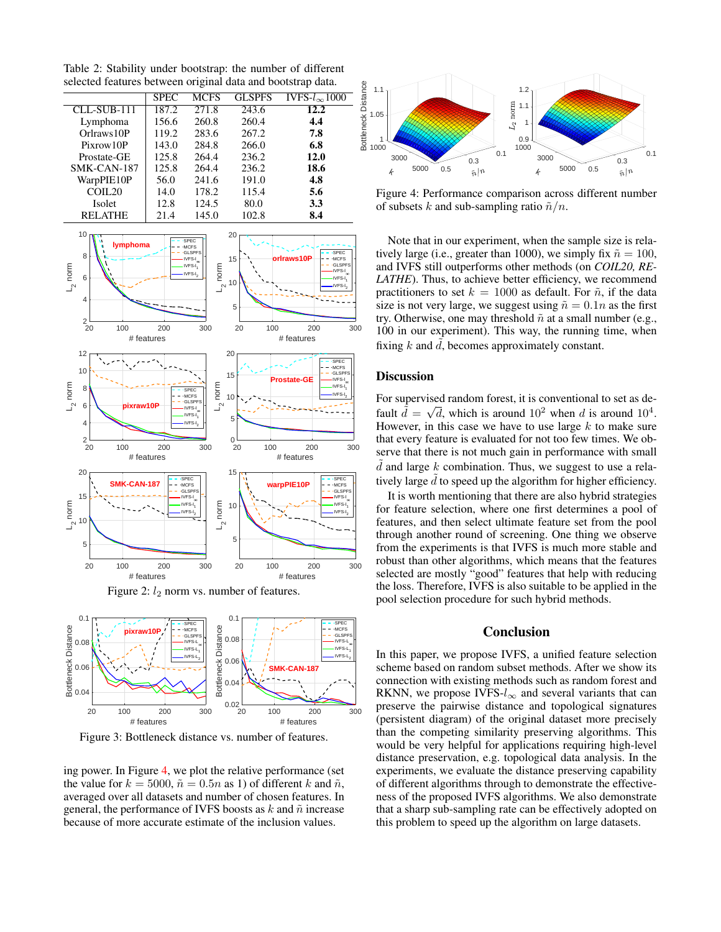<span id="page-6-2"></span>Table 2: Stability under bootstrap: the number of different selected features between original data and bootstrap data.

|                | <b>SPEC</b> | MCFS  | <b>GLSPFS</b> | IVFS- $l_{\infty}1000$ |
|----------------|-------------|-------|---------------|------------------------|
| $CLL-SUB-111$  | 187.2       | 271.8 | 243.6         | 12.2                   |
| Lymphoma       | 156.6       | 260.8 | 260.4         | 4.4                    |
| Orlraws 10P    | 119.2       | 283.6 | 267.2         | 7.8                    |
| Pixrow10P      | 143.0       | 284.8 | 266.0         | 6.8                    |
| Prostate-GE    | 125.8       | 264.4 | 236.2         | 12.0                   |
| SMK-CAN-187    | 125.8       | 264.4 | 236.2         | 18.6                   |
| WarpPIE10P     | 56.0        | 241.6 | 191.0         | 4.8                    |
| COLL20         | 14.0        | 178.2 | 115.4         | 5.6                    |
| <b>Isolet</b>  | 12.8        | 124.5 | 80.0          | 3.3                    |
| <b>RELATHE</b> | 21.4        | 145.0 | 102.8         | 8.4                    |
|                |             |       |               |                        |

20

 $1<sup>1</sup>$ 

<span id="page-6-0"></span>



<span id="page-6-1"></span>

Figure 3: Bottleneck distance vs. number of features.

ing power. In Figure [4,](#page-6-3) we plot the relative performance (set the value for  $k = 5000$ ,  $\tilde{n} = 0.5n$  as 1) of different k and  $\tilde{n}$ , averaged over all datasets and number of chosen features. In general, the performance of IVFS boosts as  $k$  and  $\tilde{n}$  increase because of more accurate estimate of the inclusion values.

<span id="page-6-3"></span>

Figure 4: Performance comparison across different number of subsets k and sub-sampling ratio  $\tilde{n}/n$ .

Note that in our experiment, when the sample size is relatively large (i.e., greater than 1000), we simply fix  $\tilde{n} = 100$ , and IVFS still outperforms other methods (on *COIL20, RE-LATHE*). Thus, to achieve better efficiency, we recommend practitioners to set  $k = 1000$  as default. For  $\tilde{n}$ , if the data size is not very large, we suggest using  $\tilde{n} = 0.1n$  as the first try. Otherwise, one may threshold  $\tilde{n}$  at a small number (e.g., 100 in our experiment). This way, the running time, when fixing  $k$  and  $d$ , becomes approximately constant.

### **Discussion**

For supervised random forest, it is conventional to set as default  $\tilde{d} = \sqrt{d}$ , which is around  $10^2$  when d is around  $10^4$ . However, in this case we have to use large  $k$  to make sure that every feature is evaluated for not too few times. We observe that there is not much gain in performance with small  $d$  and large  $k$  combination. Thus, we suggest to use a relatively large  $d$  to speed up the algorithm for higher efficiency.

It is worth mentioning that there are also hybrid strategies for feature selection, where one first determines a pool of features, and then select ultimate feature set from the pool through another round of screening. One thing we observe from the experiments is that IVFS is much more stable and robust than other algorithms, which means that the features selected are mostly "good" features that help with reducing the loss. Therefore, IVFS is also suitable to be applied in the pool selection procedure for such hybrid methods.

### Conclusion

In this paper, we propose IVFS, a unified feature selection scheme based on random subset methods. After we show its connection with existing methods such as random forest and RKNN, we propose IVFS- $l_{\infty}$  and several variants that can preserve the pairwise distance and topological signatures (persistent diagram) of the original dataset more precisely than the competing similarity preserving algorithms. This would be very helpful for applications requiring high-level distance preservation, e.g. topological data analysis. In the experiments, we evaluate the distance preserving capability of different algorithms through to demonstrate the effectiveness of the proposed IVFS algorithms. We also demonstrate that a sharp sub-sampling rate can be effectively adopted on this problem to speed up the algorithm on large datasets.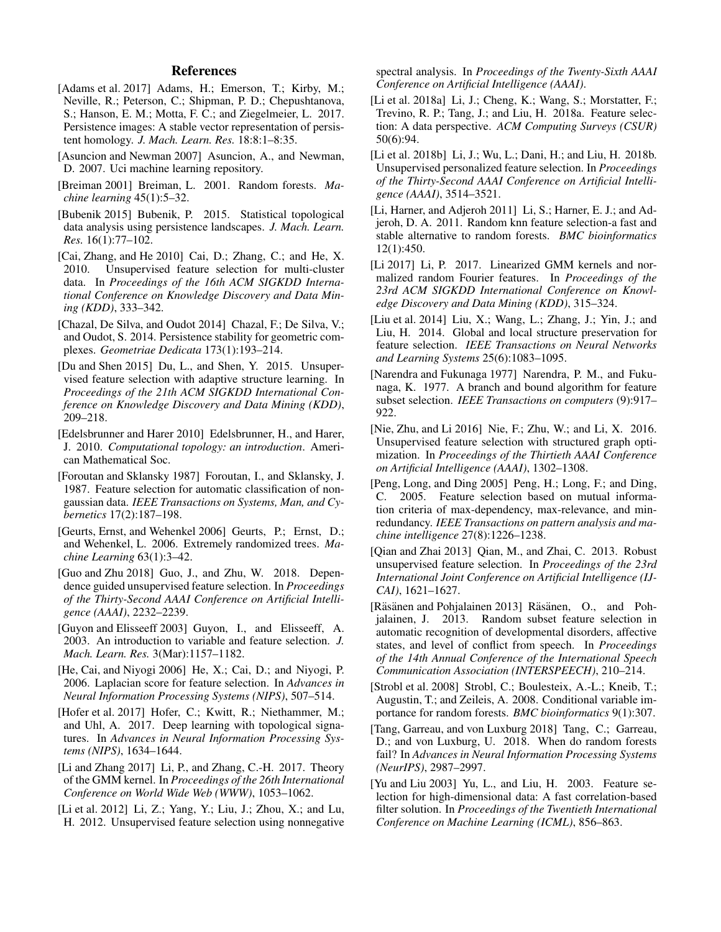# References

- <span id="page-7-22"></span>[Adams et al. 2017] Adams, H.; Emerson, T.; Kirby, M.; Neville, R.; Peterson, C.; Shipman, P. D.; Chepushtanova, S.; Hanson, E. M.; Motta, F. C.; and Ziegelmeier, L. 2017. Persistence images: A stable vector representation of persistent homology. *J. Mach. Learn. Res.* 18:8:1–8:35.
- <span id="page-7-27"></span>[Asuncion and Newman 2007] Asuncion, A., and Newman, D. 2007. Uci machine learning repository.
- <span id="page-7-13"></span>[Breiman 2001] Breiman, L. 2001. Random forests. *Machine learning* 45(1):5–32.
- <span id="page-7-23"></span>[Bubenik 2015] Bubenik, P. 2015. Statistical topological data analysis using persistence landscapes. *J. Mach. Learn. Res.* 16(1):77–102.
- <span id="page-7-4"></span>[Cai, Zhang, and He 2010] Cai, D.; Zhang, C.; and He, X. 2010. Unsupervised feature selection for multi-cluster data. In *Proceedings of the 16th ACM SIGKDD International Conference on Knowledge Discovery and Data Mining (KDD)*, 333–342.
- <span id="page-7-26"></span>[Chazal, De Silva, and Oudot 2014] Chazal, F.; De Silva, V.; and Oudot, S. 2014. Persistence stability for geometric complexes. *Geometriae Dedicata* 173(1):193–214.
- <span id="page-7-8"></span>[Du and Shen 2015] Du, L., and Shen, Y. 2015. Unsupervised feature selection with adaptive structure learning. In *Proceedings of the 21th ACM SIGKDD International Conference on Knowledge Discovery and Data Mining (KDD)*, 209–218.
- <span id="page-7-21"></span>[Edelsbrunner and Harer 2010] Edelsbrunner, H., and Harer, J. 2010. *Computational topology: an introduction*. American Mathematical Soc.
- <span id="page-7-18"></span>[Foroutan and Sklansky 1987] Foroutan, I., and Sklansky, J. 1987. Feature selection for automatic classification of nongaussian data. *IEEE Transactions on Systems, Man, and Cybernetics* 17(2):187–198.
- <span id="page-7-19"></span>[Geurts, Ernst, and Wehenkel 2006] Geurts, P.; Ernst, D.; and Wehenkel, L. 2006. Extremely randomized trees. *Machine Learning* 63(1):3–42.
- <span id="page-7-11"></span>[Guo and Zhu 2018] Guo, J., and Zhu, W. 2018. Dependence guided unsupervised feature selection. In *Proceedings of the Thirty-Second AAAI Conference on Artificial Intelligence (AAAI)*, 2232–2239.
- <span id="page-7-0"></span>[Guyon and Elisseeff 2003] Guyon, I., and Elisseeff, A. 2003. An introduction to variable and feature selection. *J. Mach. Learn. Res.* 3(Mar):1157–1182.
- <span id="page-7-3"></span>[He, Cai, and Niyogi 2006] He, X.; Cai, D.; and Niyogi, P. 2006. Laplacian score for feature selection. In *Advances in Neural Information Processing Systems (NIPS)*, 507–514.
- <span id="page-7-12"></span>[Hofer et al. 2017] Hofer, C.; Kwitt, R.; Niethammer, M.; and Uhl, A. 2017. Deep learning with topological signatures. In *Advances in Neural Information Processing Systems (NIPS)*, 1634–1644.
- <span id="page-7-25"></span>[Li and Zhang 2017] Li, P., and Zhang, C.-H. 2017. Theory of the GMM kernel. In *Proceedings of the 26th International Conference on World Wide Web (WWW)*, 1053–1062.
- <span id="page-7-6"></span>[Li et al. 2012] Li, Z.; Yang, Y.; Liu, J.; Zhou, X.; and Lu, H. 2012. Unsupervised feature selection using nonnegative

spectral analysis. In *Proceedings of the Twenty-Sixth AAAI Conference on Artificial Intelligence (AAAI)*.

- <span id="page-7-28"></span>[Li et al. 2018a] Li, J.; Cheng, K.; Wang, S.; Morstatter, F.; Trevino, R. P.; Tang, J.; and Liu, H. 2018a. Feature selection: A data perspective. *ACM Computing Surveys (CSUR)* 50(6):94.
- <span id="page-7-10"></span>[Li et al. 2018b] Li, J.; Wu, L.; Dani, H.; and Liu, H. 2018b. Unsupervised personalized feature selection. In *Proceedings of the Thirty-Second AAAI Conference on Artificial Intelligence (AAAI)*, 3514–3521.
- <span id="page-7-14"></span>[Li, Harner, and Adjeroh 2011] Li, S.; Harner, E. J.; and Adjeroh, D. A. 2011. Random knn feature selection-a fast and stable alternative to random forests. *BMC bioinformatics* 12(1):450.
- <span id="page-7-24"></span>[Li 2017] Li, P. 2017. Linearized GMM kernels and normalized random Fourier features. In *Proceedings of the 23rd ACM SIGKDD International Conference on Knowledge Discovery and Data Mining (KDD)*, 315–324.
- <span id="page-7-5"></span>[Liu et al. 2014] Liu, X.; Wang, L.; Zhang, J.; Yin, J.; and Liu, H. 2014. Global and local structure preservation for feature selection. *IEEE Transactions on Neural Networks and Learning Systems* 25(6):1083–1095.
- <span id="page-7-17"></span>[Narendra and Fukunaga 1977] Narendra, P. M., and Fukunaga, K. 1977. A branch and bound algorithm for feature subset selection. *IEEE Transactions on computers* (9):917– 922.
- <span id="page-7-9"></span>[Nie, Zhu, and Li 2016] Nie, F.; Zhu, W.; and Li, X. 2016. Unsupervised feature selection with structured graph optimization. In *Proceedings of the Thirtieth AAAI Conference on Artificial Intelligence (AAAI)*, 1302–1308.
- <span id="page-7-1"></span>[Peng, Long, and Ding 2005] Peng, H.; Long, F.; and Ding, C. 2005. Feature selection based on mutual information criteria of max-dependency, max-relevance, and minredundancy. *IEEE Transactions on pattern analysis and machine intelligence* 27(8):1226–1238.
- <span id="page-7-7"></span>[Oian and Zhai 2013] Oian, M., and Zhai, C. 2013. Robust unsupervised feature selection. In *Proceedings of the 23rd International Joint Conference on Artificial Intelligence (IJ-CAI)*, 1621–1627.
- <span id="page-7-15"></span>[Räsänen and Pohjalainen 2013] Räsänen, O., and Pohjalainen, J. 2013. Random subset feature selection in automatic recognition of developmental disorders, affective states, and level of conflict from speech. In *Proceedings of the 14th Annual Conference of the International Speech Communication Association (INTERSPEECH)*, 210–214.
- <span id="page-7-16"></span>[Strobl et al. 2008] Strobl, C.; Boulesteix, A.-L.; Kneib, T.; Augustin, T.; and Zeileis, A. 2008. Conditional variable importance for random forests. *BMC bioinformatics* 9(1):307.
- <span id="page-7-20"></span>[Tang, Garreau, and von Luxburg 2018] Tang, C.; Garreau, D.; and von Luxburg, U. 2018. When do random forests fail? In *Advances in Neural Information Processing Systems (NeurIPS)*, 2987–2997.
- <span id="page-7-2"></span>[Yu and Liu 2003] Yu, L., and Liu, H. 2003. Feature selection for high-dimensional data: A fast correlation-based filter solution. In *Proceedings of the Twentieth International Conference on Machine Learning (ICML)*, 856–863.